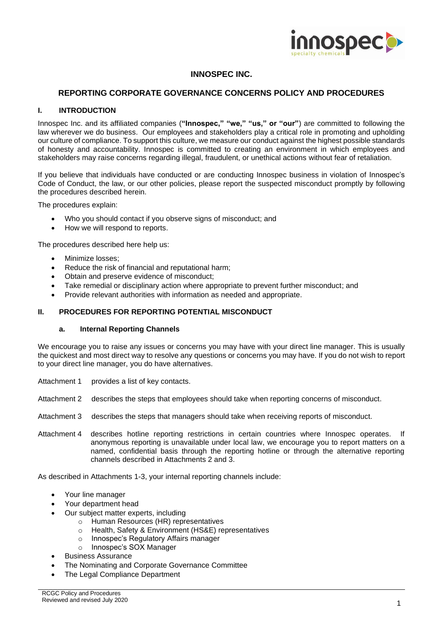

# **INNOSPEC INC.**

## **REPORTING CORPORATE GOVERNANCE CONCERNS POLICY AND PROCEDURES**

#### **I. INTRODUCTION**

Innospec Inc. and its affiliated companies (**"Innospec," "we," "us," or "our"**) are committed to following the law wherever we do business. Our employees and stakeholders play a critical role in promoting and upholding our culture of compliance. To support this culture, we measure our conduct against the highest possible standards of honesty and accountability. Innospec is committed to creating an environment in which employees and stakeholders may raise concerns regarding illegal, fraudulent, or unethical actions without fear of retaliation.

If you believe that individuals have conducted or are conducting Innospec business in violation of Innospec's Code of Conduct, the law, or our other policies, please report the suspected misconduct promptly by following the procedures described herein.

The procedures explain:

- Who you should contact if you observe signs of misconduct; and
- How we will respond to reports.

The procedures described here help us:

- Minimize losses:
- Reduce the risk of financial and reputational harm;
- Obtain and preserve evidence of misconduct;
- Take remedial or disciplinary action where appropriate to prevent further misconduct; and
- Provide relevant authorities with information as needed and appropriate.

#### **II. PROCEDURES FOR REPORTING POTENTIAL MISCONDUCT**

#### **a. Internal Reporting Channels**

We encourage you to raise any issues or concerns you may have with your direct line manager. This is usually the quickest and most direct way to resolve any questions or concerns you may have. If you do not wish to report to your direct line manager, you do have alternatives.

- Attachment 1 provides a list of key contacts.
- Attachment 2 describes the steps that employees should take when reporting concerns of misconduct.
- Attachment 3 describes the steps that managers should take when receiving reports of misconduct.
- Attachment 4 describes hotline reporting restrictions in certain countries where Innospec operates. anonymous reporting is unavailable under local law, we encourage you to report matters on a named, confidential basis through the reporting hotline or through the alternative reporting channels described in Attachments 2 and 3.

As described in Attachments 1-3, your internal reporting channels include:

- Your line manager
- Your department head
- Our subject matter experts, including
	- o Human Resources (HR) representatives
	- o Health, Safety & Environment (HS&E) representatives
	- o Innospec's Regulatory Affairs manager
	- o Innospec's SOX Manager
- Business Assurance
- The Nominating and Corporate Governance Committee
- The Legal Compliance Department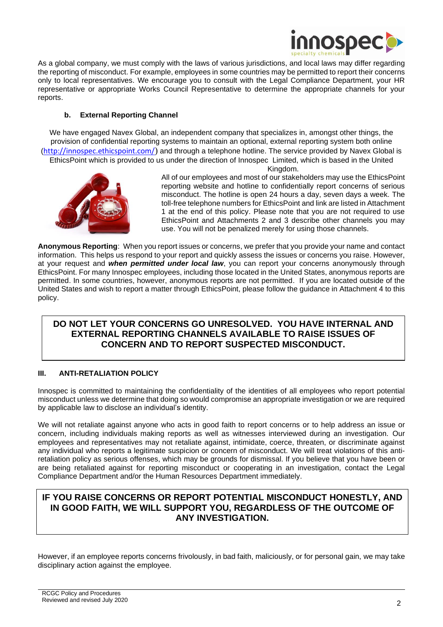

As a global company, we must comply with the laws of various jurisdictions, and local laws may differ regarding the reporting of misconduct. For example, employees in some countries may be permitted to report their concerns only to local representatives. We encourage you to consult with the Legal Compliance Department, your HR representative or appropriate Works Council Representative to determine the appropriate channels for your reports.

## **b. External Reporting Channel**

We have engaged Navex Global, an independent company that specializes in, amongst other things, the provision of confidential reporting systems to maintain an optional, external reporting system both online ([http://innospec.ethicspoint.com/](https://urldefense.proofpoint.com/v2/url?u=http-3A__innospec.ethicspoint.com_&d=DwMFAg&c=euGZstcaTDllvimEN8b7jXrwqOf-v5A_CdpgnVfiiMM&r=FbccDlzF1P5PGU9fTQwD_lmfU4guNYSZMPcsTaq4ysM&m=kyuJtn3_9koHmPTDWFrSsvypCPAczmFQpMY4pbpM_Nw&s=1pMaQMVFRmEYhQQybLqSEaI-TgBvyY4fYW_y4ePC5-c&e=)) and through a telephone hotline. The service provided by Navex Global is EthicsPoint which is provided to us under the direction of Innospec Limited, which is based in the United



Kingdom.

All of our employees and most of our stakeholders may use the EthicsPoint reporting website and hotline to confidentially report concerns of serious misconduct. The hotline is open 24 hours a day, seven days a week. The toll-free telephone numbers for EthicsPoint and link are listed in Attachment 1 at the end of this policy. Please note that you are not required to use EthicsPoint and Attachments 2 and 3 describe other channels you may use. You will not be penalized merely for using those channels.

**Anonymous Reporting**: When you report issues or concerns, we prefer that you provide your name and contact information. This helps us respond to your report and quickly assess the issues or concerns you raise. However, at your request and *when permitted under local law*, you can report your concerns anonymously through EthicsPoint. For many Innospec employees, including those located in the United States, anonymous reports are permitted. In some countries, however, anonymous reports are not permitted. If you are located outside of the United States and wish to report a matter through EthicsPoint, please follow the guidance in Attachment 4 to this policy.

# **DO NOT LET YOUR CONCERNS GO UNRESOLVED. YOU HAVE INTERNAL AND EXTERNAL REPORTING CHANNELS AVAILABLE TO RAISE ISSUES OF CONCERN AND TO REPORT SUSPECTED MISCONDUCT.**

## **III. ANTI-RETALIATION POLICY**

Innospec is committed to maintaining the confidentiality of the identities of all employees who report potential misconduct unless we determine that doing so would compromise an appropriate investigation or we are required by applicable law to disclose an individual's identity.

We will not retaliate against anyone who acts in good faith to report concerns or to help address an issue or concern, including individuals making reports as well as witnesses interviewed during an investigation. Our employees and representatives may not retaliate against, intimidate, coerce, threaten, or discriminate against any individual who reports a legitimate suspicion or concern of misconduct. We will treat violations of this antiretaliation policy as serious offenses, which may be grounds for dismissal. If you believe that you have been or are being retaliated against for reporting misconduct or cooperating in an investigation, contact the Legal Compliance Department and/or the Human Resources Department immediately.

# **IF YOU RAISE CONCERNS OR REPORT POTENTIAL MISCONDUCT HONESTLY, AND IN GOOD FAITH, WE WILL SUPPORT YOU, REGARDLESS OF THE OUTCOME OF ANY INVESTIGATION.**

However, if an employee reports concerns frivolously, in bad faith, maliciously, or for personal gain, we may take disciplinary action against the employee.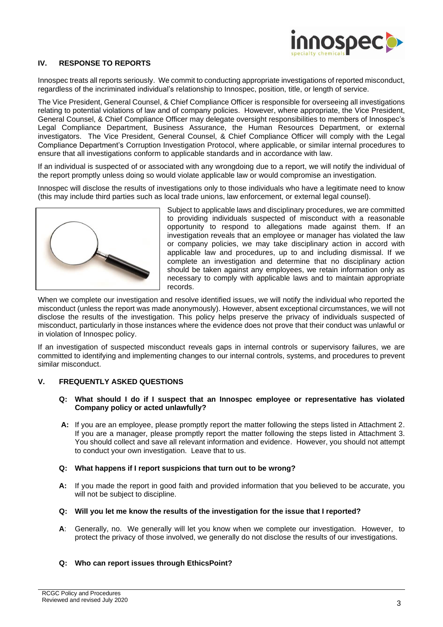

## **IV. RESPONSE TO REPORTS**

Innospec treats all reports seriously. We commit to conducting appropriate investigations of reported misconduct, regardless of the incriminated individual's relationship to Innospec, position, title, or length of service.

The Vice President, General Counsel, & Chief Compliance Officer is responsible for overseeing all investigations relating to potential violations of law and of company policies. However, where appropriate, the Vice President, General Counsel, & Chief Compliance Officer may delegate oversight responsibilities to members of Innospec's Legal Compliance Department, Business Assurance, the Human Resources Department, or external investigators. The Vice President, General Counsel, & Chief Compliance Officer will comply with the Legal Compliance Department's Corruption Investigation Protocol, where applicable, or similar internal procedures to ensure that all investigations conform to applicable standards and in accordance with law.

If an individual is suspected of or associated with any wrongdoing due to a report, we will notify the individual of the report promptly unless doing so would violate applicable law or would compromise an investigation.

Innospec will disclose the results of investigations only to those individuals who have a legitimate need to know (this may include third parties such as local trade unions, law enforcement, or external legal counsel).



Subject to applicable laws and disciplinary procedures, we are committed to providing individuals suspected of misconduct with a reasonable opportunity to respond to allegations made against them. If an investigation reveals that an employee or manager has violated the law or company policies, we may take disciplinary action in accord with applicable law and procedures, up to and including dismissal. If we complete an investigation and determine that no disciplinary action should be taken against any employees, we retain information only as necessary to comply with applicable laws and to maintain appropriate records.

When we complete our investigation and resolve identified issues, we will notify the individual who reported the misconduct (unless the report was made anonymously). However, absent exceptional circumstances, we will not disclose the results of the investigation. This policy helps preserve the privacy of individuals suspected of misconduct, particularly in those instances where the evidence does not prove that their conduct was unlawful or in violation of Innospec policy.

If an investigation of suspected misconduct reveals gaps in internal controls or supervisory failures, we are committed to identifying and implementing changes to our internal controls, systems, and procedures to prevent similar misconduct.

## **V. FREQUENTLY ASKED QUESTIONS**

- **Q: What should I do if I suspect that an Innospec employee or representative has violated Company policy or acted unlawfully?**
- **A:** If you are an employee, please promptly report the matter following the steps listed in Attachment 2. If you are a manager, please promptly report the matter following the steps listed in Attachment 3. You should collect and save all relevant information and evidence. However, you should not attempt to conduct your own investigation. Leave that to us.

#### **Q: What happens if I report suspicions that turn out to be wrong?**

- **A:** If you made the report in good faith and provided information that you believed to be accurate, you will not be subject to discipline.
- **Q: Will you let me know the results of the investigation for the issue that I reported?**
- **A**: Generally, no. We generally will let you know when we complete our investigation. However, to protect the privacy of those involved, we generally do not disclose the results of our investigations.

## **Q: Who can report issues through EthicsPoint?**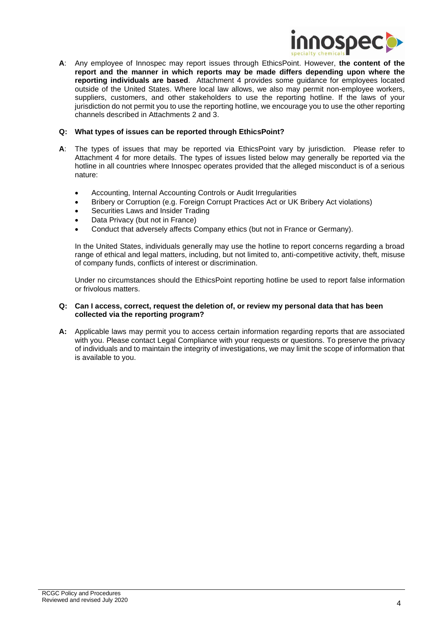

**A**: Any employee of Innospec may report issues through EthicsPoint. However, **the content of the report and the manner in which reports may be made differs depending upon where the reporting individuals are based**. Attachment 4 provides some guidance for employees located outside of the United States. Where local law allows, we also may permit non-employee workers, suppliers, customers, and other stakeholders to use the reporting hotline. If the laws of your jurisdiction do not permit you to use the reporting hotline, we encourage you to use the other reporting channels described in Attachments 2 and 3.

#### **Q: What types of issues can be reported through EthicsPoint?**

- **A**: The types of issues that may be reported via EthicsPoint vary by jurisdiction. Please refer to Attachment 4 for more details. The types of issues listed below may generally be reported via the hotline in all countries where Innospec operates provided that the alleged misconduct is of a serious nature:
	- Accounting, Internal Accounting Controls or Audit Irregularities
	- Bribery or Corruption (e.g. Foreign Corrupt Practices Act or UK Bribery Act violations)
	- Securities Laws and Insider Trading
	- Data Privacy (but not in France)
	- Conduct that adversely affects Company ethics (but not in France or Germany).

In the United States, individuals generally may use the hotline to report concerns regarding a broad range of ethical and legal matters, including, but not limited to, anti-competitive activity, theft, misuse of company funds, conflicts of interest or discrimination.

Under no circumstances should the EthicsPoint reporting hotline be used to report false information or frivolous matters.

#### **Q: Can I access, correct, request the deletion of, or review my personal data that has been collected via the reporting program?**

**A:** Applicable laws may permit you to access certain information regarding reports that are associated with you. Please contact Legal Compliance with your requests or questions. To preserve the privacy of individuals and to maintain the integrity of investigations, we may limit the scope of information that is available to you.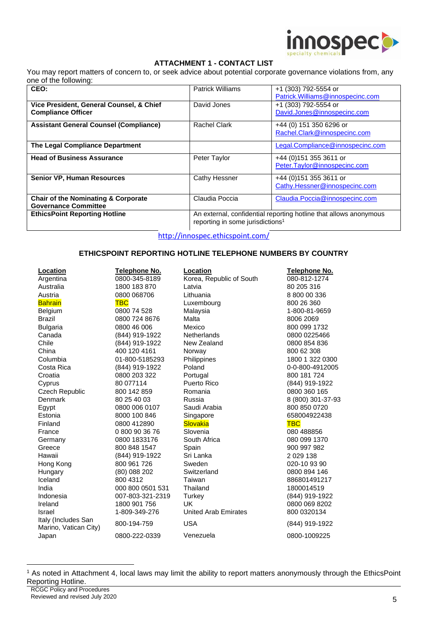

## **ATTACHMENT 1 - CONTACT LIST**

You may report matters of concern to, or seek advice about potential corporate governance violations from, any one of the following:

| CEO:                                           | <b>Patrick Williams</b>                                                                                           | +1 (303) 792-5554 or              |  |
|------------------------------------------------|-------------------------------------------------------------------------------------------------------------------|-----------------------------------|--|
|                                                |                                                                                                                   | Patrick. Williams@innospecinc.com |  |
| Vice President, General Counsel, & Chief       | David Jones                                                                                                       | +1 (303) 792-5554 or              |  |
| <b>Compliance Officer</b>                      |                                                                                                                   | David.Jones@innospecinc.com       |  |
| <b>Assistant General Counsel (Compliance)</b>  | <b>Rachel Clark</b>                                                                                               | +44 (0) 151 350 6296 or           |  |
|                                                |                                                                                                                   | Rachel.Clark@innospecinc.com      |  |
| The Legal Compliance Department                |                                                                                                                   | Legal.Compliance@innospecinc.com  |  |
| <b>Head of Business Assurance</b>              | Peter Taylor                                                                                                      | +44 (0) 151 355 3611 or           |  |
|                                                |                                                                                                                   | Peter.Taylor@innospecinc.com      |  |
| <b>Senior VP, Human Resources</b>              | Cathy Hessner                                                                                                     | +44 (0) 151 355 3611 or           |  |
|                                                |                                                                                                                   | Cathy.Hessner@innospecinc.com     |  |
| <b>Chair of the Nominating &amp; Corporate</b> | Claudia Poccia                                                                                                    | Claudia.Poccia@innospecinc.com    |  |
| <b>Governance Committee</b>                    |                                                                                                                   |                                   |  |
| <b>EthicsPoint Reporting Hotline</b>           | An external, confidential reporting hotline that allows anonymous<br>reporting in some jurisdictions <sup>1</sup> |                                   |  |

[http://innospec.ethicspoint.com/](https://urldefense.proofpoint.com/v2/url?u=http-3A__innospec.ethicspoint.com_&d=DwMFAg&c=euGZstcaTDllvimEN8b7jXrwqOf-v5A_CdpgnVfiiMM&r=FbccDlzF1P5PGU9fTQwD_lmfU4guNYSZMPcsTaq4ysM&m=kyuJtn3_9koHmPTDWFrSsvypCPAczmFQpMY4pbpM_Nw&s=1pMaQMVFRmEYhQQybLqSEaI-TgBvyY4fYW_y4ePC5-c&e=)

#### **ETHICSPOINT REPORTING HOTLINE TELEPHONE NUMBERS BY COUNTRY**

| Location                                     | Telephone No.    | Location                    | Telephone No.     |
|----------------------------------------------|------------------|-----------------------------|-------------------|
| Argentina                                    | 0800-345-8189    | Korea, Republic of South    | 080-812-1274      |
| Australia                                    | 1800 183 870     | Latvia                      | 80 205 316        |
| Austria                                      | 0800 068706      | Lithuania                   | 8 800 00 336      |
| <b>Bahrain</b>                               | <b>TBC</b>       | Luxembourg                  | 800 26 360        |
| Belgium                                      | 0800 74 528      | Malaysia                    | 1-800-81-9659     |
| <b>Brazil</b>                                | 0800 724 8676    | Malta                       | 8006 2069         |
| <b>Bulgaria</b>                              | 0800 46 006      | Mexico                      | 800 099 1732      |
| Canada                                       | (844) 919-1922   | <b>Netherlands</b>          | 0800 0225466      |
| Chile                                        | (844) 919-1922   | New Zealand                 | 0800 854 836      |
| China                                        | 400 120 4161     | Norway                      | 800 62 308        |
| Columbia                                     | 01-800-5185293   | Philippines                 | 1800 1 322 0300   |
| Costa Rica                                   | (844) 919-1922   | Poland                      | 0-0-800-4912005   |
| Croatia                                      | 0800 203 322     | Portugal                    | 800 181 724       |
| Cyprus                                       | 80 077114        | Puerto Rico                 | (844) 919-1922    |
| <b>Czech Republic</b>                        | 800 142 859      | Romania                     | 0800 360 165      |
| Denmark                                      | 80 25 40 03      | Russia                      | 8 (800) 301-37-93 |
| Egypt                                        | 0800 006 0107    | Saudi Arabia                | 800 850 0720      |
| Estonia                                      | 8000 100 846     | Singapore                   | 658004922438      |
| Finland                                      | 0800 412890      | <b>Slovakia</b>             | <b>TBC</b>        |
| France                                       | 0 800 90 36 76   | Slovenia                    | 080 488856        |
| Germany                                      | 0800 1833176     | South Africa                | 080 099 1370      |
| Greece                                       | 800 848 1547     | Spain                       | 900 997 982       |
| Hawaii                                       | (844) 919-1922   | Sri Lanka                   | 2 0 29 1 38       |
| Hong Kong                                    | 800 961 726      | Sweden                      | 020-10 93 90      |
| Hungary                                      | (80) 088 202     | Switzerland                 | 0800 894 146      |
| Iceland                                      | 800 4312         | Taiwan                      | 886801491217      |
| India                                        | 000 800 0501 531 | Thailand                    | 1800014519        |
| Indonesia                                    | 007-803-321-2319 | Turkey                      | (844) 919-1922    |
| Ireland                                      | 1800 901 756     | <b>UK</b>                   | 0800 069 8202     |
| Israel                                       | 1-809-349-276    | <b>United Arab Emirates</b> | 800 0320134       |
| Italy (Includes San<br>Marino, Vatican City) | 800-194-759      | <b>USA</b>                  | (844) 919-1922    |
| Japan                                        | 0800-222-0339    | Venezuela                   | 0800-1009225      |

<sup>1</sup> As noted in Attachment 4, local laws may limit the ability to report matters anonymously through the EthicsPoint Reporting Hotline.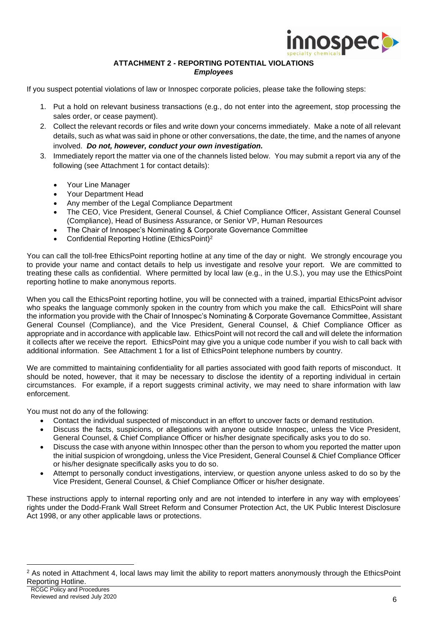

## **ATTACHMENT 2 - REPORTING POTENTIAL VIOLATIONS** *Employees*

If you suspect potential violations of law or Innospec corporate policies, please take the following steps:

- 1. Put a hold on relevant business transactions (e.g., do not enter into the agreement, stop processing the sales order, or cease payment).
- 2. Collect the relevant records or files and write down your concerns immediately. Make a note of all relevant details, such as what was said in phone or other conversations, the date, the time, and the names of anyone involved. *Do not, however, conduct your own investigation.*
- 3. Immediately report the matter via one of the channels listed below. You may submit a report via any of the following (see Attachment 1 for contact details):
	- Your Line Manager
	- Your Department Head
	- Any member of the Legal Compliance Department
	- The CEO, Vice President, General Counsel, & Chief Compliance Officer, Assistant General Counsel (Compliance), Head of Business Assurance, or Senior VP, Human Resources
	- The Chair of Innospec's Nominating & Corporate Governance Committee
	- Confidential Reporting Hotline (EthicsPoint)<sup>2</sup>

You can call the toll-free EthicsPoint reporting hotline at any time of the day or night. We strongly encourage you to provide your name and contact details to help us investigate and resolve your report. We are committed to treating these calls as confidential. Where permitted by local law (e.g., in the U.S.), you may use the EthicsPoint reporting hotline to make anonymous reports.

When you call the EthicsPoint reporting hotline, you will be connected with a trained, impartial EthicsPoint advisor who speaks the language commonly spoken in the country from which you make the call. EthicsPoint will share the information you provide with the Chair of Innospec's Nominating & Corporate Governance Committee, Assistant General Counsel (Compliance), and the Vice President, General Counsel, & Chief Compliance Officer as appropriate and in accordance with applicable law. EthicsPoint will not record the call and will delete the information it collects after we receive the report. EthicsPoint may give you a unique code number if you wish to call back with additional information. See Attachment 1 for a list of EthicsPoint telephone numbers by country.

We are committed to maintaining confidentiality for all parties associated with good faith reports of misconduct. It should be noted, however, that it may be necessary to disclose the identity of a reporting individual in certain circumstances. For example, if a report suggests criminal activity, we may need to share information with law enforcement.

You must not do any of the following:

- Contact the individual suspected of misconduct in an effort to uncover facts or demand restitution.
- Discuss the facts, suspicions, or allegations with anyone outside Innospec, unless the Vice President, General Counsel, & Chief Compliance Officer or his/her designate specifically asks you to do so.
- Discuss the case with anyone within Innospec other than the person to whom you reported the matter upon the initial suspicion of wrongdoing, unless the Vice President, General Counsel & Chief Compliance Officer or his/her designate specifically asks you to do so.
- Attempt to personally conduct investigations, interview, or question anyone unless asked to do so by the Vice President, General Counsel, & Chief Compliance Officer or his/her designate.

These instructions apply to internal reporting only and are not intended to interfere in any way with employees' rights under the Dodd-Frank Wall Street Reform and Consumer Protection Act, the UK Public Interest Disclosure Act 1998, or any other applicable laws or protections.

<sup>&</sup>lt;sup>2</sup> As noted in Attachment 4, local laws may limit the ability to report matters anonymously through the EthicsPoint Reporting Hotline.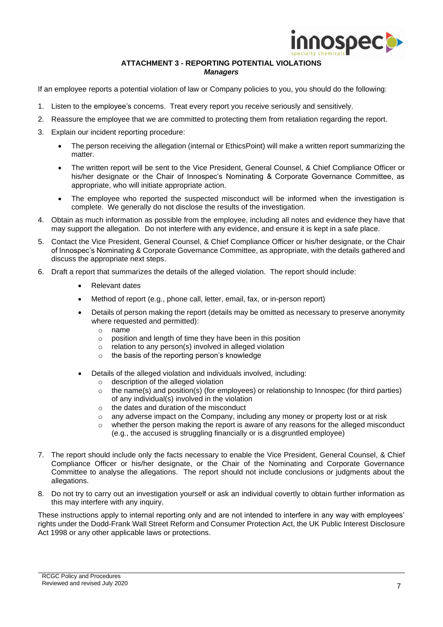

#### **ATTACHMENT 3 - REPORTING POTENTIAL VIOLATIONS** *Managers*

If an employee reports a potential violation of law or Company policies to you, you should do the following:

- 1. Listen to the employee's concerns. Treat every report you receive seriously and sensitively.
- 2. Reassure the employee that we are committed to protecting them from retaliation regarding the report.
- 3. Explain our incident reporting procedure:
	- The person receiving the allegation (internal or EthicsPoint) will make a written report summarizing the matter.
	- The written report will be sent to the Vice President, General Counsel, & Chief Compliance Officer or his/her designate or the Chair of Innospec's Nominating & Corporate Governance Committee, as appropriate, who will initiate appropriate action.
	- The employee who reported the suspected misconduct will be informed when the investigation is complete. We generally do not disclose the results of the investigation.
- 4. Obtain as much information as possible from the employee, including all notes and evidence they have that may support the allegation. Do not interfere with any evidence, and ensure it is kept in a safe place.
- 5. Contact the Vice President, General Counsel, & Chief Compliance Officer or his/her designate, or the Chair of Innospec's Nominating & Corporate Governance Committee, as appropriate, with the details gathered and discuss the appropriate next steps.
- 6. Draft a report that summarizes the details of the alleged violation. The report should include:
	- Relevant dates
	- Method of report (e.g., phone call, letter, email, fax, or in-person report)
	- Details of person making the report (details may be omitted as necessary to preserve anonymity where requested and permitted):
		- o name
		- o position and length of time they have been in this position
		- o relation to any person(s) involved in alleged violation
		- o the basis of the reporting person's knowledge
	- Details of the alleged violation and individuals involved, including:
		- o description of the alleged violation
		- $\circ$  the name(s) and position(s) (for employees) or relationship to Innospec (for third parties) of any individual(s) involved in the violation
		- o the dates and duration of the misconduct
		- $\circ$  any adverse impact on the Company, including any money or property lost or at risk
		- $\circ$  whether the person making the report is aware of any reasons for the alleged misconduct (e.g., the accused is struggling financially or is a disgruntled employee)
- 7. The report should include only the facts necessary to enable the Vice President, General Counsel, & Chief Compliance Officer or his/her designate, or the Chair of the Nominating and Corporate Governance Committee to analyse the allegations. The report should not include conclusions or judgments about the allegations.
- 8. Do not try to carry out an investigation yourself or ask an individual covertly to obtain further information as this may interfere with any inquiry.

These instructions apply to internal reporting only and are not intended to interfere in any way with employees' rights under the Dodd-Frank Wall Street Reform and Consumer Protection Act, the UK Public Interest Disclosure Act 1998 or any other applicable laws or protections.